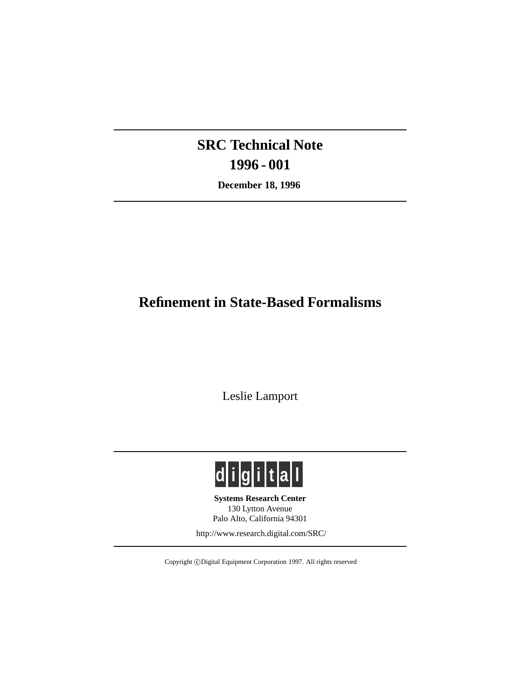# **SRC Technical Note 1996 - 001**

**December 18, 1996**

## **Refinement in State-Based Formalisms**

Leslie Lamport



**Systems Research Center** 130 Lytton Avenue Palo Alto, California 94301

http://www.research.digital.com/SRC/

Copyright © Digital Equipment Corporation 1997. All rights reserved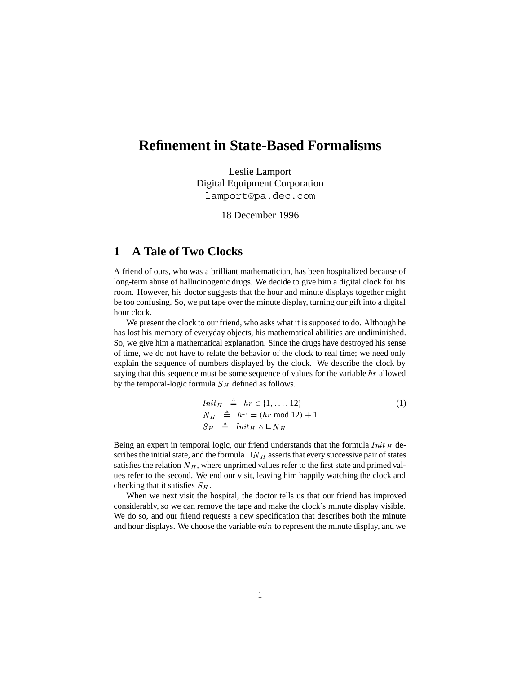### **Refinement in State-Based Formalisms**

Leslie Lamport Digital Equipment Corporation lamport@pa.dec.com

18 December 1996

### **1 A Tale of Two Clocks**

A friend of ours, who was a brilliant mathematician, has been hospitalized because of long-term abuse of hallucinogenic drugs. We decide to give him a digital clock for his room. However, his doctor suggests that the hour and minute displays together might be too confusing. So, we put tape over the minute display, turning our gift into a digital hour clock.

We present the clock to our friend, who asks what it is supposed to do. Although he has lost his memory of everyday objects, his mathematical abilities are undiminished. So, we give him a mathematical explanation. Since the drugs have destroyed his sense of time, we do not have to relate the behavior of the clock to real time; we need only explain the sequence of numbers displayed by the clock. We describe the clock by saying that this sequence must be some sequence of values for the variable hr allowed by the temporal-logic formula  $S_H$  defined as follows.

$$
Init_H \triangleq hr \in \{1, ..., 12\}
$$
  
\n
$$
N_H \triangleq hr' = (hr \mod 12) + 1
$$
  
\n
$$
S_H \triangleq Init_H \land \Box N_H
$$
 (1)

Being an expert in temporal logic, our friend understands that the formula  $Init_H$  describes the initial state, and the formula  $\Box N_H$  asserts that every successive pair of states satisfies the relation  $N_H$ , where unprimed values refer to the first state and primed values refer to the second. We end our visit, leaving him happily watching the clock and checking that it satisfies  $S_H$ .

When we next visit the hospital, the doctor tells us that our friend has improved considerably, so we can remove the tape and make the clock's minute display visible. We do so, and our friend requests a new specification that describes both the minute and hour displays. We choose the variable  $min$  to represent the minute display, and we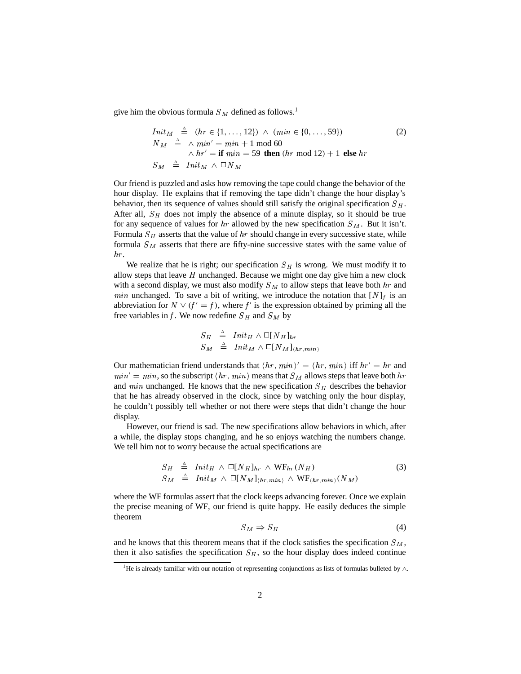give him the obvious formula  $S<sub>M</sub>$  defined as follows.<sup>1</sup>

$$
Init_{M} \triangleq (hr \in \{1, ..., 12\}) \wedge (min \in \{0, ..., 59\})
$$
\n
$$
N_{M} \triangleq \wedge min' = min + 1 \mod 60
$$
\n
$$
\wedge hr' = \text{if } min = 59 \text{ then } (hr \mod 12) + 1 \text{ else } hr
$$
\n
$$
S_{M} \triangleq Init_{M} \wedge \square N_{M}
$$
\n(2)

Our friend is puzzled and asks how removing the tape could change the behavior of the hour display. He explains that if removing the tape didn't change the hour display's behavior, then its sequence of values should still satisfy the original specification  $S_H$ . After all,  $S_H$  does not imply the absence of a minute display, so it should be true for any sequence of values for hr allowed by the new specification  $S_M$ . But it isn't. Formula  $S_H$  asserts that the value of hr should change in every successive state, while formula  $S_M$  asserts that there are fifty-nine successive states with the same value of hr.

We realize that he is right; our specification  $S_H$  is wrong. We must modify it to allow steps that leave  $H$  unchanged. Because we might one day give him a new clock with a second display, we must also modify  $S_M$  to allow steps that leave both  $hr$  and *min* unchanged. To save a bit of writing, we introduce the notation that  $[N]_f$  is an abbreviation for  $N \vee (f' = f)$ , where f' is the expression obtained by priming all the free variables in f. We now redefine  $S_H$  and  $S_M$  by

$$
\begin{array}{rcl}\nS_H & \stackrel{\scriptscriptstyle\Delta}{=} & \mathit{Init}_H \wedge \Box [N_H]_{hr} \\
S_M & \stackrel{\scriptscriptstyle\Delta}{=} & \mathit{Init}_M \wedge \Box [N_M]_{\langle hr, min\rangle}\n\end{array}
$$

Our mathematician friend understands that  $\langle hr, min \rangle' = \langle hr, min \rangle$  iff  $hr' = hr$  and  $min' = min$ , so the subscript  $\langle hr, min \rangle$  means that  $S_M$  allows steps that leave both  $hr$ and *min* unchanged. He knows that the new specification  $S_H$  describes the behavior that he has already observed in the clock, since by watching only the hour display, he couldn't possibly tell whether or not there were steps that didn't change the hour display.

However, our friend is sad. The new specifications allow behaviors in which, after a while, the display stops changing, and he so enjoys watching the numbers change. We tell him not to worry because the actual specifications are

$$
S_H \triangleq \text{Init}_H \wedge \Box[N_H]_{hr} \wedge \text{WF}_{hr}(N_H) S_M \triangleq \text{Init}_M \wedge \Box[N_M]_{(hr, min)} \wedge \text{WF}_{(hr, min)}(N_M)
$$
(3)

where the WF formulas assert that the clock keeps advancing forever. Once we explain the precise meaning of WF, our friend is quite happy. He easily deduces the simple theorem

$$
S_M \Rightarrow S_H \tag{4}
$$

and he knows that this theorem means that if the clock satisfies the specification  $S_M$ , then it also satisfies the specification  $S_H$ , so the hour display does indeed continue

<sup>&</sup>lt;sup>1</sup>He is already familiar with our notation of representing conjunctions as lists of formulas bulleted by  $\wedge$ .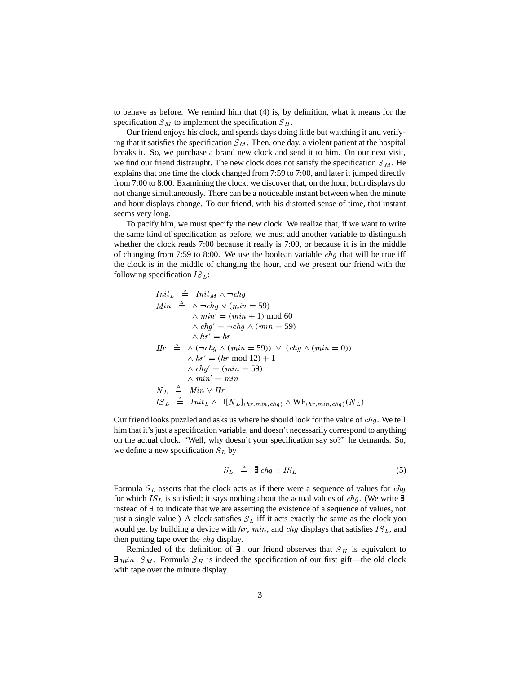to behave as before. We remind him that (4) is, by definition, what it means for the specification  $S_M$  to implement the specification  $S_H$ .

Our friend enjoys his clock, and spends days doing little but watching it and verifying that it satisfies the specification  $S_M$ . Then, one day, a violent patient at the hospital breaks it. So, we purchase a brand new clock and send it to him. On our next visit, we find our friend distraught. The new clock does not satisfy the specification  $S_M$ . He explains that one time the clock changed from 7:59 to 7:00, and later it jumped directly from 7:00 to 8:00. Examining the clock, we discover that, on the hour, both displays do not change simultaneously. There can be a noticeable instant between when the minute and hour displays change. To our friend, with his distorted sense of time, that instant seems very long.

To pacify him, we must specify the new clock. We realize that, if we want to write the same kind of specification as before, we must add another variable to distinguish whether the clock reads 7:00 because it really is 7:00, or because it is in the middle of changing from 7:59 to 8:00. We use the boolean variable  $chq$  that will be true iff the clock is in the middle of changing the hour, and we present our friend with the following specification  $IS_L$ :

$$
Init_L \triangleq Init_M \wedge \neg chg
$$
  
\n
$$
Min \triangleq \wedge \neg chg \vee (min = 59)
$$
  
\n
$$
\wedge \ min' = (\min + 1) \mod 60
$$
  
\n
$$
\wedge \text{ chg}' = \neg chg \wedge (min = 59)
$$
  
\n
$$
\wedge \text{ hr}' = \text{ hr}
$$
  
\n
$$
Hr \triangleq \wedge (\neg chg \wedge (min = 59)) \vee (chg \wedge (min = 0))
$$
  
\n
$$
\wedge \text{ hr}' = (\text{hr} \mod 12) + 1
$$
  
\n
$$
\wedge \text{ chg}' = (\text{min} = 59)
$$
  
\n
$$
\wedge \min' = \min
$$
  
\n
$$
N_L \triangleq Min \vee Hr
$$
  
\n
$$
IS_L \triangleq Init_L \wedge \Box[N_L]_{(hr, \min, chg)} \wedge WF_{(hr, \min, chg)}(N_L)
$$

Our friend looks puzzled and asks us where he should look for the value of chg . We tell him that it's just a specification variable, and doesn't necessarily correspond to anything on the actual clock. "Well, why doesn't your specification say so?" he demands. So, we define a new specification  $S_L$  by

$$
S_L \triangleq \exists chg : IS_L \tag{5}
$$

Formula  $S_L$  asserts that the clock acts as if there were a sequence of values for *chg* for which IS L is satisfied; it says nothing about the actual values of chg. (We write  $\exists$ instead of ∃ to indicate that we are asserting the existence of a sequence of values, not just a single value.) A clock satisfies  $S_L$  iff it acts exactly the same as the clock you would get by building a device with  $hr$ ,  $min$ , and  $chg$  displays that satisfies  $IS_L$ , and then putting tape over the *chq* display.

Reminded of the definition of  $\exists$ , our friend observes that  $S_H$  is equivalent to  $\exists min : S_M$ . Formula  $S_H$  is indeed the specification of our first gift—the old clock with tape over the minute display.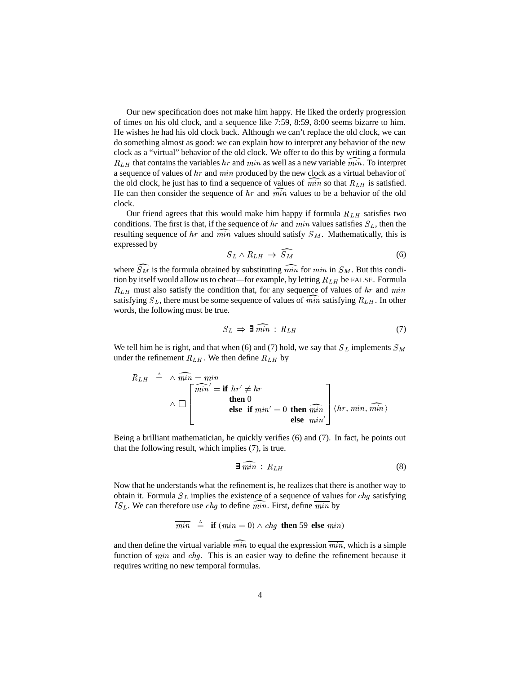Our new specification does not make him happy. He liked the orderly progression of times on his old clock, and a sequence like 7:59, 8:59, 8:00 seems bizarre to him. He wishes he had his old clock back. Although we can't replace the old clock, we can do something almost as good: we can explain how to interpret any behavior of the new clock as a "virtual" behavior of the old clock. We offer to do this by writing a formula  $R_{LH}$  that contains the variables hr and min as well as a new variable min. To interpret a sequence of values of hr and min produced by the new clock as a virtual behavior of the old clock, he just has to find a sequence of values of  $\overline{min}$  so that  $R_{LH}$  is satisfied. He can then consider the sequence of hr and  $\overline{min}$  values to be a behavior of the old clock.

Our friend agrees that this would make him happy if formula  $R_{LH}$  satisfies two conditions. The first is that, if the sequence of hr and min values satisfies  $S_L$ , then the resulting sequence of hr and min values should satisfy  $S_M$ . Mathematically, this is expressed by

$$
S_L \wedge R_{LH} \Rightarrow \widehat{S_M} \tag{6}
$$

where  $\widetilde{S}_M$  is the formula obtained by substituting  $\widetilde{min}$  for  $min$  in  $S_M$ . But this condition by itself would allow us to cheat—for example, by letting  $R_{LH}$  be FALSE. Formula  $R_{LH}$  must also satisfy the condition that, for any sequence of values of hr and min satisfying  $S_L$ , there must be some sequence of values of min satisfying  $R_{LH}$ . In other words, the following must be true.

$$
S_L \Rightarrow \exists \widehat{min} : R_{LH} \tag{7}
$$

We tell him he is right, and that when (6) and (7) hold, we say that  $S_L$  implements  $S_M$ under the refinement  $R_{LH}$ . We then define  $R_{LH}$  by

$$
R_{LH} \triangleq \wedge \widehat{min} = \min_{\Lambda} \mathbf{min}' = \mathbf{if} \; hr' \neq hr
$$
\n
$$
\wedge \Box \begin{bmatrix} \widehat{min}' = \mathbf{if} \; hr' \neq hr \\ \mathbf{then} \; 0 \\ \mathbf{else} \; \mathbf{if} \; min' = 0 \; \mathbf{then} \; \widehat{min} \\ \mathbf{else} \; min' \end{bmatrix} \langle hr, \, min, \, \widehat{min} \rangle
$$

Being a brilliant mathematician, he quickly verifies (6) and (7). In fact, he points out that the following result, which implies (7), is true.

$$
\exists \,\widetilde{min} \,:\, R_{LH} \tag{8}
$$

Now that he understands what the refinement is, he realizes that there is another way to obtain it. Formula  $S_L$  implies the existence of a sequence of values for *chg* satisfying  $IS_L$ . We can therefore use *chg* to define min. First, define min by

$$
\overline{min} \quad \stackrel{\scriptscriptstyle \Delta}{=} \quad \text{if} \ (min = 0) \land chg \ \text{then} \ 59 \ \text{else} \ min)
$$

and then define the virtual variable  $\widehat{min}$  to equal the expression  $\overline{min}$ , which is a simple function of  $min$  and  $chg$ . This is an easier way to define the refinement because it requires writing no new temporal formulas.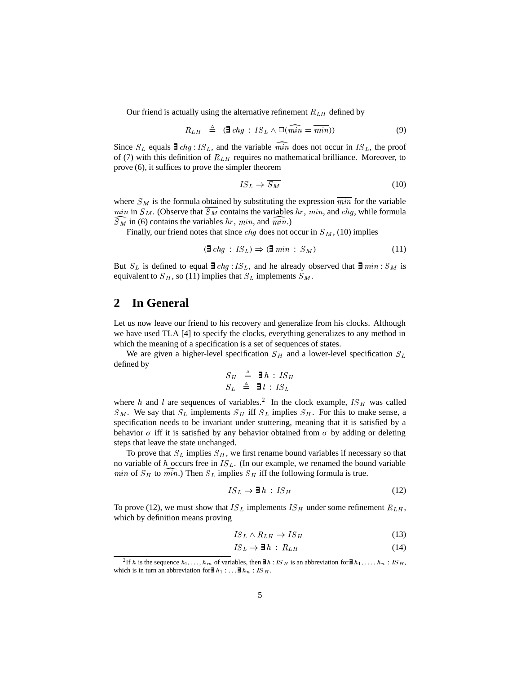Our friend is actually using the alternative refinement  $R_{LH}$  defined by

$$
R_{LH} \triangleq (\mathbf{\Xi} chg : IS_L \wedge \Box(\widehat{min} = \overline{min})) \tag{9}
$$

Since  $S_L$  equals  $\exists chg: IS_L$ , and the variable min does not occur in  $IS_L$ , the proof of (7) with this definition of  $R_{LH}$  requires no mathematical brilliance. Moreover, to prove (6), it suffices to prove the simpler theorem

$$
IS_L \Rightarrow \overline{S_M} \tag{10}
$$

where  $\overline{S_M}$  is the formula obtained by substituting the expression  $\overline{min}$  for the variable  $min$  in  $S_M$ . (Observe that  $S_M$  contains the variables  $hr$ ,  $min$ , and  $chg$ , while formula  $S_M$  in (6) contains the variables hr, min, and min.)

Finally, our friend notes that since *chg* does not occur in  $S_M$ , (10) implies

$$
(\exists \text{ chg} : IS_L) \Rightarrow (\exists \text{ min} : S_M) \tag{11}
$$

But  $S_L$  is defined to equal  $\exists chg : IS_L$ , and he already observed that  $\exists min : S_M$  is equivalent to  $S_H$ , so (11) implies that  $S_L$  implements  $S_M$ .

#### **2 In General**

Let us now leave our friend to his recovery and generalize from his clocks. Although we have used TLA [4] to specify the clocks, everything generalizes to any method in which the meaning of a specification is a set of sequences of states.

We are given a higher-level specification  $S_H$  and a lower-level specification  $S_L$ defined by

$$
\begin{array}{rcl}\nS_H & \triangleq & \exists h \, : \, IS_H \\
S_L & \triangleq & \exists l \, : \, IS_L\n\end{array}
$$

where h and l are sequences of variables.<sup>2</sup> In the clock example,  $IS_H$  was called  $S_M$ . We say that  $S_L$  implements  $S_H$  iff  $S_L$  implies  $S_H$ . For this to make sense, a specification needs to be invariant under stuttering, meaning that it is satisfied by a behavior  $\sigma$  iff it is satisfied by any behavior obtained from  $\sigma$  by adding or deleting steps that leave the state unchanged.

To prove that  $S_L$  implies  $S_H$ , we first rename bound variables if necessary so that no variable of  $h$  occurs free in  $IS_L$ . (In our example, we renamed the bound variable *min* of  $S_H$  to *min*.) Then  $S_L$  implies  $S_H$  iff the following formula is true.

$$
IS_L \Rightarrow \mathbf{\exists} \, h \, : \, IS_H \tag{12}
$$

To prove (12), we must show that IS  $_L$  implements IS  $_H$  under some refinement  $R_{LH}$ , which by definition means proving

$$
IS_L \wedge R_{LH} \Rightarrow IS_H \tag{13}
$$

$$
IS_L \Rightarrow \mathbf{\exists} h : R_{LH} \tag{14}
$$

<sup>&</sup>lt;sup>2</sup>If h is the sequence  $h_1, \ldots, h_m$  of variables, then  $\exists h : IS_H$  is an abbreviation for  $\exists h_1, \ldots, h_n : IS_H$ , which is in turn an abbreviation for**∃**  $h_1 : ...$  ∃  $h_n : IS$  H.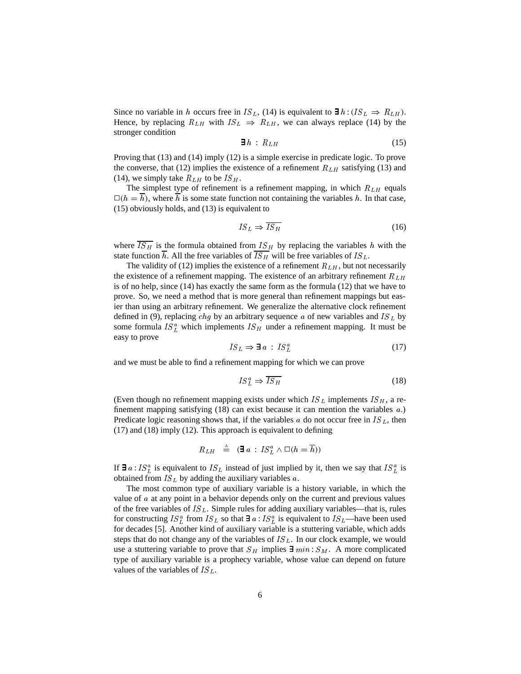Since no variable in h occurs free in IS<sub>L</sub>, (14) is equivalent to  $\exists h : (IS_L \Rightarrow R_{LH}).$ Hence, by replacing  $R_{LH}$  with  $IS_L \Rightarrow R_{LH}$ , we can always replace (14) by the stronger condition

$$
\mathbf{\exists} \, h \, : \, R_{LH} \tag{15}
$$

Proving that (13) and (14) imply (12) is a simple exercise in predicate logic. To prove the converse, that (12) implies the existence of a refinement  $R_{LH}$  satisfying (13) and (14), we simply take  $R_{LH}$  to be  $IS_H$ .

The simplest type of refinement is a refinement mapping, in which  $R_{LH}$  equals  $\Box(h = \overline{h})$ , where  $\overline{h}$  is some state function not containing the variables h. In that case, (15) obviously holds, and (13) is equivalent to

$$
IS_L \Rightarrow \overline{IS_H} \tag{16}
$$

where  $\overline{IS_H}$  is the formula obtained from  $IS_H$  by replacing the variables h with the state function  $\overline{h}$ . All the free variables of  $\overline{IS}_H$  will be free variables of  $IS_L$ .

The validity of (12) implies the existence of a refinement  $R_{LH}$ , but not necessarily the existence of a refinement mapping. The existence of an arbitrary refinement  $R_{LH}$ is of no help, since (14) has exactly the same form as the formula (12) that we have to prove. So, we need a method that is more general than refinement mappings but easier than using an arbitrary refinement. We generalize the alternative clock refinement defined in (9), replacing *chg* by an arbitrary sequence  $a$  of new variables and IS<sub>L</sub> by some formula  $IS_L^a$  which implements  $IS_H$  under a refinement mapping. It must be easy to prove

$$
IS_L \Rightarrow \mathbf{\exists} \ a : IS_L^a \tag{17}
$$

and we must be able to find a refinement mapping for which we can prove

$$
IS_L^a \Rightarrow \overline{IS_H} \tag{18}
$$

(Even though no refinement mapping exists under which  $IS_L$  implements  $IS_H$ , a refinement mapping satisfying (18) can exist because it can mention the variables <sup>a</sup>.) Predicate logic reasoning shows that, if the variables a do not occur free in  $IS_L$ , then (17) and (18) imply (12). This approach is equivalent to defining

$$
R_{LH} \triangleq (\exists a : IS_{L}^{a} \wedge \Box(h = \overline{h}))
$$

If  $\exists a: IS_{L}^{a}$  is equivalent to  $IS_{L}$  instead of just implied by it, then we say that  $IS_{L}^{a}$  is obtained from  $IS_L$  by adding the auxiliary variables a.

The most common type of auxiliary variable is a history variable, in which the value of <sup>a</sup> at any point in a behavior depends only on the current and previous values of the free variables of  $IS_L$ . Simple rules for adding auxiliary variables—that is, rules for constructing  $IS_L^a$  from  $IS_L$  so that  $\exists a: IS_L^a$  is equivalent to  $IS_L$ —have been used for decades [5]. Another kind of auxiliary variable is a stuttering variable, which adds steps that do not change any of the variables of  $IS_L$ . In our clock example, we would use a stuttering variable to prove that  $S_H$  implies  $\exists min : S_M$ . A more complicated type of auxiliary variable is a prophecy variable, whose value can depend on future values of the variables of  $IS_L$ .